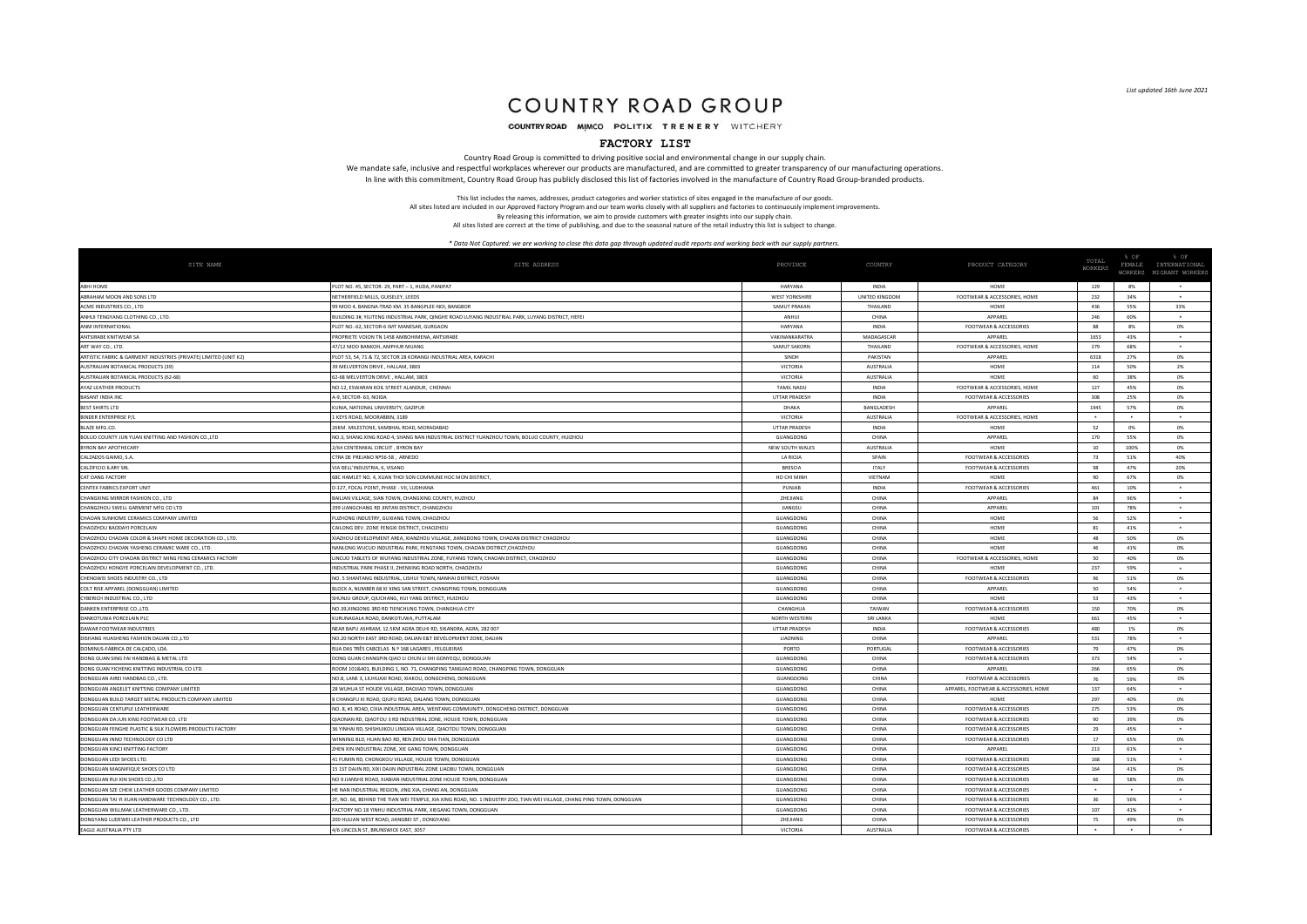# COUNTRY ROAD GROUP

COUNTRY ROAD MIMCO POLITIX TRENERY WITCHERY

### **FACTORY LIST**

Country Road Group is committed to driving positive social and environmental change in our supply chain. We mandate safe, inclusive and respectful workplaces wherever our products are manufactured, and are committed to greater transparency of our manufacturing operations. In line with this commitment, Country Road Group has publicly disclosed this list of factories involved in the manufacture of Country Road Group-branded products.

> This list includes the names, addresses, product categories and worker statistics of sites engaged in the manufacture of our goods. All sites listed are included in our Approved Factory Program and our team works closely with all suppliers and factories to continuously implement improvements. By releasing this information, we aim to provide customers with greater insights into our supply chain.

All sites listed are correct at the time of publishing, and due to the seasonal nature of the retail industry this list is subject to change.

| SITE NAME                                                        | SITE ADDRESS                                                                                                           | PROVINCE              | COUNTRY          | PRODUCT CATEGORY                      | TOTAL<br>WORKERS     | % OF<br>FEMALE | % OF<br>INTERNATIONAL<br>WORKERS MIGRANT WORKERS |
|------------------------------------------------------------------|------------------------------------------------------------------------------------------------------------------------|-----------------------|------------------|---------------------------------------|----------------------|----------------|--------------------------------------------------|
| ABHI HOME                                                        | LOT NO. 45, SECTOR- 29, PART - 1, HUDA, PANIPAT                                                                        | HARYANA               | INDIA            | HOME                                  | 129                  | 8%             |                                                  |
| ABRAHAM MOON AND SONS LTD                                        | NETHERFIELD MILLS, GUISELEY, LEEDS                                                                                     | <b>WEST YORKSHIRI</b> | UNITED KINGDOM   | FOOTWEAR & ACCESSORIES, HOME          | 232                  | 34%            | $\bullet$                                        |
| ACME INDUSTRIES CO., LTD                                         | 9 MOO 4, BANGNA-TRAD KM, 35 BANGPLEE-NOI, BANGBOR                                                                      | SAMUT PRAKAN          | <b>THAILAND</b>  | HOME                                  | 436                  | 55%            | 33%                                              |
| ANHUI TENGYANG CLOTHING CO., LTD                                 | BUILDING 3#, YILITENG INDUSTRIAL PARK, QINGHE ROAD LUYANG INDUSTRIAL PARK, LUYANG DISTRICT, HEFEI                      | <b>ANHUI</b>          | CHINA            | <b>APPAREL</b>                        | 246                  | 60%            | $\bullet$                                        |
| ANM INTERNATIONAL                                                | PLOT NO.-62, SECTOR-6 IMT MANESAR, GURGAON                                                                             | <b>HARYANA</b>        | INDIA            | FOOTWEAR & ACCESSORIES                | 88                   | 8%             | 0%                                               |
| ANTSIRABE KNITWEAR S/                                            | ROPRIETE VOION TN 1458 AMBOHIMENA, ANTSIRAB                                                                            | VAKINANKARATRA        | MADAGASCAR       | APPAREL                               | 1653                 | 43%            |                                                  |
| ART WAY CO., LTD.                                                | 47/12 MOO BANKOH, AMPHUR MUANG                                                                                         | SAMUT SAKORN          | THAILAND         | FOOTWEAR & ACCESSORIES, HOME          | 279                  | 68%            | $\bullet$                                        |
| ARTISTIC FABRIC & GARMENT INDUSTRIES (PRIVATE) LIMITED (UNIT K2) | LOT 53, 54, 71 & 72, SECTOR 28 KORANGI INDUSTRIAL AREA, KARACHI                                                        | SINDH                 | PAKISTAN         | APPAREL                               | 6318                 | 27%            | 0%                                               |
| AUSTRALIAN ROTANICAL PRODUCTS (39)                               | 39 MELVERTON DRIVE HALLAM 3803                                                                                         | VICTORIA              | AUSTRALIA        | HOME                                  | 114                  | 50%            | 2%                                               |
| AUSTRALIAN BOTANICAL PRODUCTS (62-68)                            | 62-68 MELVERTON DRIVE . HALLAM, 3803                                                                                   | <b>VICTORIA</b>       | AUSTRALIA        | HOME                                  | 60                   | 38%            | 0%                                               |
| AYAZ LEATHER PRODUCTS                                            | NO.12, ESWARAN KOIL STREET ALANDUR, CHENNAI                                                                            | <b>TAMIL NADL</b>     | <b>INDIA</b>     | FOOTWEAR & ACCESSORIES, HOME          | 127                  | 45%            | <b>0%</b>                                        |
| <b>BASANT INDIA INC</b>                                          | 4-9, SECTOR- 63, NOIDA                                                                                                 | <b>UTTAR PRADES!</b>  | <b>INDIA</b>     | FOOTWEAR & ACCESSORIES                | 308                  | 25%            | 0%                                               |
| <b>BEST SHIRTS LTD</b>                                           | UNIA, NATIONAL UNIVERSITY, GAZIPUR                                                                                     | DHAKA                 | BANGLADESH       | APPAREL                               | 1945                 | 57%            | 0%                                               |
| <b>BINDER ENTERPRISE P/I</b>                                     | 1 KEYS ROAD, MOORABBIN, 3189                                                                                           | <b>VICTORIA</b>       | AUSTRALIA        | FOOTWEAR & ACCESSORIES, HOME          | $\ddot{\phantom{1}}$ | $\ddot{}$      | $\ddot{\phantom{1}}$                             |
| BLAZE MFG.CO.                                                    | 6KM. MILESTONE, SAMBHAL ROAD, MORADABAD                                                                                | UTTAR PRADESH         | INDIA            | HOME                                  | 52                   | 0%             | 0%                                               |
| BOLUO COUNTY JUN YUAN KNITTING AND FASHION CO.,LTD               | NO.3, SHANG XING ROAD 4, SHANG NAN INDUSTRIAL DISTRICT YUANZHOU TOWN, BOLUO COUNTY, HUIZHOU                            | GUANGDONG             | CHINA            | <b>APPAREL</b>                        | 170                  | 55%            | 0%                                               |
| <b>BYRON BAY APOTHECARY</b>                                      | 1/64 CENTENNIAL CIRCUIT . BYRON BAY                                                                                    | NEW SOUTH WALES       | <b>AUSTRALIA</b> | HOME                                  | 10                   | 100%           | 0%                                               |
| CALZADOS GAIMO, S.A.                                             | CTRA DE PREJANO Nº56-58, ARNEDO                                                                                        | LA RIOJ               | SPAIN            | <b>FOOTWEAR &amp; ACCESSORIES</b>     | 73                   | 51%            | 40%                                              |
| CALZIFICIO ILARY SRL                                             | VIA DELL'INDUSTRIA 6 VISANO                                                                                            | <b>BRESCU</b>         | <b>ITAIY</b>     | <b>FOOTWEAR &amp; ACCESSORIES</b>     | 98                   | 47%            | 20%                                              |
| CAT DANG FACTORY                                                 | SEC HAMLET NO. 4, XUAN THOI SON COMMUNE HOC MON DISTRICT,                                                              | HO CHI MINH           | VIETNAM          | HOME                                  | 90                   | 67%            | 0%                                               |
| CENTEX FABRICS EXPORT UNIT                                       | D-127, FOCAL POINT, PHASE - VII, LUDHIANA                                                                              | PUNJAB                | <b>INDIA</b>     | <b>FOOTWEAR &amp; ACCESSORIES</b>     | 461                  | 10%            | $\bullet$                                        |
| CHANGXING MIRROR FASHION CO., LTD                                | BAILIAN VILLAGE, SIAN TOWN, CHANGXING COUNTY, HUZHOU                                                                   | <b>ZHEILANG</b>       | CHINA            | <b>APPAREL</b>                        | 84                   | 96%            | ٠                                                |
| CHANGZHOU SWELL GARMENT MFG CO LTD                               | 199 LIANGCHANG RD JINTAN DISTRICT, CHANGZHOL                                                                           | <b>JIANGSI</b>        | CHINA            | APPAREL                               | 101                  | 78%            | ٠                                                |
| CHAOAN SUNHOME CERAMICS COMPANY LIMITED                          | UZHONG INDUSTRY, GUXIANG TOWN, CHAOZHOU                                                                                | GUANGDONG             | CHINA            | HOME                                  | 56                   | 52%            | ٠                                                |
| CHAOZHOU BAODAYI PORCELAIN                                       | CAILONG DEV. ZONE FENGXI DISTRICT, CHAOZHOU                                                                            | GUANGDONG             | CHINA            | HOME                                  | 81                   | 41%            |                                                  |
| CHAOZHOU CHAOAN COLOR & SHAPE HOME DECORATION CO., LTD.          | XIAZHOU DEVELOPMENT AREA, XIANZHOU VILLAGE, JIANGDONG TOWN, CHAOAN DISTRICT CHAOZHOU                                   | GUANGDONG             | CHINA            | HOME                                  | 48                   | 50%            | 0%                                               |
| CHAOZHOU CHAOAN YASHENG CERAMIC WARE CO., LTD.                   | VANLONG WUCUO INDUSTRIAL PARK, FENGTANG TOWN, CHAOAN DISTRICT.CHAOZHOU                                                 | GUANGDONG             | CHINA            | HOME                                  | 46                   | 41%            | <b>0%</b>                                        |
| CHAOZHOU CITY CHAOAN DISTRICT MING FENG CERAMICS FACTORY         | LINCUO TABLETS OF WUYANG INDUSTRIAL ZONE, FUYANG TOWN, CHAOAN DISTRICT, CHAOZHOU                                       | GUANGDONG             | CHINA            | FOOTWEAR & ACCESSORIES, HOME          | 50                   | 40%            | <b>0%</b>                                        |
| CHAOZHOU HONGYE PORCELAIN DEVELOPMENT CO., LTD                   | INDUSTRIAL PARK PHASE II. ZHENXING ROAD NORTH, CHAOZHOU                                                                | GUANGDONG             | CHINA            | HOME                                  | 237                  | 59%            | $\ddot{}$                                        |
| CHENGWEI SHOES INDUSTRY CO., LTD                                 | <b>IO. 5 SHANTANG INDUSTRIAL, LISHUI TOWN, NANHAI DISTRICT, FOSHAN</b>                                                 | GUANGDONG             | CHINA            | <b>FOOTWEAR &amp; ACCESSORIES</b>     | 96                   | 51%            | 0%                                               |
| COLT RISE APPAREL (DONGGUAN) LIMITED                             | BLOCK A, NUMBER 68 XI XING SAN STREET, CHANGPING TOWN, DONGGUAN                                                        | GUANGDONG             | CHINA            | APPAREL                               | 50                   | 54%            | $\bullet$                                        |
| CYBERICH INDUSTRIAL CO., LTD                                     | HUNJU GROUP, QIUCHANG, HUI YANG DISTRICT, HUIZHOU                                                                      | GUANGDONG             | CHINA            | HOME                                  | 53                   | 43%            |                                                  |
| DANKEN ENTERPRISE CO. LTD                                        | NO 39 XINGONG 3RD RD TIENCHLING TOWN CHANGHLIA CITY                                                                    | CHANGHUN              | TAIWAN           | <b>FOOTWEAR &amp; ACCESSORIES</b>     | 150                  | 70%            | 0%                                               |
| DANKOTUWA PORCELAIN PLO                                          | KURUNAGALA ROAD, DANKOTUWA, PUTTALAM                                                                                   | NORTH WESTERN         | SRLLANKA         | HOME                                  | 661                  | 45%            |                                                  |
| DAWAR FOOTWEAR INDUSTRIES                                        | NEAR BAPLI ASHRAM 12 5KM AGRA DELHI RD SIKANDRA AGRA 282 00                                                            | <b>UTTAR PRADESH</b>  | <b>INDIA</b>     | <b>FOOTWEAR &amp; ACCESSORIES</b>     | 480                  | 1%             | <b>0%</b>                                        |
| DISHANG HUASHENG FASHION DALIAN CO.,LTD                          | NO.20 NORTH EAST 3RD ROAD, DALIAN E&T DEVELOPMENT ZONE, DALIAN                                                         | LIAONING              | CHINA            | APPAREL                               | 531                  | 78%            | $\bullet$                                        |
| DOMINUS-FÁBRICA DE CALÇADO, LDA.                                 | UA DAS TRÊS CABCELAS N.º 168 LAGARES, FELGUEIRAS                                                                       | PORTO                 | PORTUGAL         | <b>FOOTWEAR &amp; ACCESSORIES</b>     | 79                   | 47%            | 0%                                               |
| DONG GUAN SING FAI HANDBAG & METAL LTD                           | DONG GUAN CHANGPIN QIAO LI CHUN LI SHI GONYEQU, DONGGUAN                                                               | GUANGDONG             | CHINA            | <b>FOOTWEAR &amp; ACCESSORIES</b>     | 373                  | 54%            | $\ddot{\phantom{1}}$                             |
| DONG GUAN YICHENG KNITTING INDUSTRIAL CO LTD                     | OOM 101&401, BUILDING 1, NO. 71, CHANGPING TANGJIAO ROAD, CHANGPING TOWN, DONGGUAN                                     | GUANGDONG             | CHINA            | APPAREL                               | 266                  | 65%            | 0%                                               |
| DONGGUAN AIREI HANDBAG CO., LTD.                                 | NO.8, LANE 3, LIUHUAXI ROAD, XIAKOU, DONGCHENG, DONGGUAN                                                               | GUANGDONG             | CHINA            | <b>FOOTWEAR &amp; ACCESSORIES</b>     | 76                   | 59%            | 0%                                               |
| DONGGUAN ANGELET KNITTING COMPANY LIMITED                        | 28 WUHUA ST HOUDE VILLAGE, DAOJIAO TOWN, DONGGUAN                                                                      | GUANGDONG             | CHINA            | APPAREL, FOOTWEAR & ACCESSORIES, HOME | 137                  | 64%            |                                                  |
| DONGGUAN BUILD TARGET METAL PRODUCTS COMPANY LIMITED             | CHANGFU XI ROAD, QIUFU ROAD, DALANG TOWN, DONGGUAN                                                                     | GUANGDONG             | CHINA            | HOM                                   | 297                  | 40%            | 0%                                               |
| DONGGUAN CENTUPLE LEATHERWARE                                    | NO. 8, #1 ROAD, CIXIA INDUSTRIAL AREA, WENTANG COMMUNITY, DONGCHENG DISTRICT, DONGGUAN                                 | GUANGDONG             | CHINA            | <b>FOOTWEAR &amp; ACCESSORIES</b>     | 275                  | 53%            | <b>0%</b>                                        |
| DONGGUAN DA JUN XING FOOTWEAR CO. LTD                            | JIAONAN RD, QIAOTOU 3 RD INDUSTRIAL ZONE, HOUJIE TOWN, DONGGUAN                                                        | GUANGDONG             | CHINA            | <b>FOOTWEAR &amp; ACCESSORIES</b>     | 90                   | 39%            | 0%                                               |
| DONGGUAN FENGHE PLASTIC & SILK FLOWERS PRODUCTS FACTORY          | 6 YINHAI RD, SHISHUIKOU LINGXIA VILLAGE, QIAOTOU TOWN, DONGGUAN                                                        | GUANGDONG             | CHINA            | <b>FOOTWEAR &amp; ACCESSORIES</b>     | 29                   | 45%            | $\ddot{\phantom{1}}$                             |
| DONGGUAN INNO TECHNOLOGY CO LTD                                  | VINNING BLD. HUAN BAO RD. REN ZHOU SHA TIAN, DONGGUAN                                                                  | GUANGDONG             | CHINA            | <b>FOOTWEAR &amp; ACCESSORIES</b>     | 17                   | 65%            | 0%                                               |
| DONGGUAN KINCI KNITTING FACTORY                                  | ZHEN XIN INDUSTRIAL ZONE, XIE GANG TOWN, DONGGUAN                                                                      | GUANGDONG             | CHINA            | APPAREL                               | 213                  | 61%            |                                                  |
| DONGGUAN LEDI SHOES LTD                                          | 11 FUMIN RD, CHONGKOU VILLAGE, HOUJIE TOWN, DONGGUAI                                                                   | GUANGDONG             | CHINA            | <b>FOOTWEAR &amp; ACCESSORIES</b>     | 168                  | 51%            |                                                  |
| DONGGUAN MAGNIFIQUE SHOES CO LTD                                 | 5 1ST DAJIN RD, XIXI DAJIN INDUSTRIAL ZONE LIAOBU TOWN, DONGGUAN                                                       | GUANGDONG             | CHINA            | <b>FOOTWEAR &amp; ACCESSORIES</b>     | 164                  | 41%            | 0%                                               |
| DONGGUAN RUI XIN SHOES CO.,LTD                                   | NO 9 JIANSHE ROAD, XIABIAN INDUSTRIAL ZONE HOUJIE TOWN, DONGGUAN                                                       | GUANGDONG             | CHINA            | <b>FOOTWEAR &amp; ACCESSORIES</b>     | 66                   | 58%            | 0%                                               |
| DONGGUAN SZE CHEIK LEATHER GOODS COMPANY LIMITED                 | IF NAN INDUSTRIAL REGION JING XIA CHANG AN DONGGUAN                                                                    | GUANGDONG             | CHINA            | <b>FOOTWEAR &amp; ACCESSORIES</b>     |                      |                |                                                  |
| DONGGUAN TAI YI XUAN HARDWARE TECHNOLOGY CO., LTD.               | IF, NO. 66, BEHIND THE TIAN WEI TEMPLE, XIA XING ROAD, NO. 1 INDUSTRY ZOO, TIAN WEI VILLAGE, CHANG PING TOWN, DONGGUAN | GUANGDONG             | CHINA            | FOOTWEAR & ACCESSORIE!                | 36                   | 56%            | $\bullet$                                        |
| DONGGUAN WILLMAK LEATHERWARE CO., LTD.                           | FACTORY NO.18 YINHU INDUSTRIAL PARK, XIEGANG TOWN, DONGGUAN                                                            | GUANGDONG             | CHINA            | FOOTWEAR & ACCESSORIES                | 107                  | 41%            |                                                  |
| DONGYANG LUDEWEI LEATHER PRODUCTS CO., LTD                       | 100 HULIAN WEST ROAD, JIANGBEI ST, DONGYANG                                                                            | ZHEJIANG              | CHINA            | <b>FOOTWEAR &amp; ACCESSORIES</b>     | 75                   | 49%            | 0%                                               |
| EAGLE AUSTRALIA PTY LTD                                          | 4/6 LINCOLN ST, BRUNSWICK EAST, 3057                                                                                   | <b>VICTORIA</b>       | <b>AUSTRALIA</b> | FOOTWEAR & ACCESSORIES                | $\ddot{\phantom{1}}$ | $\bullet$      | $\bullet$                                        |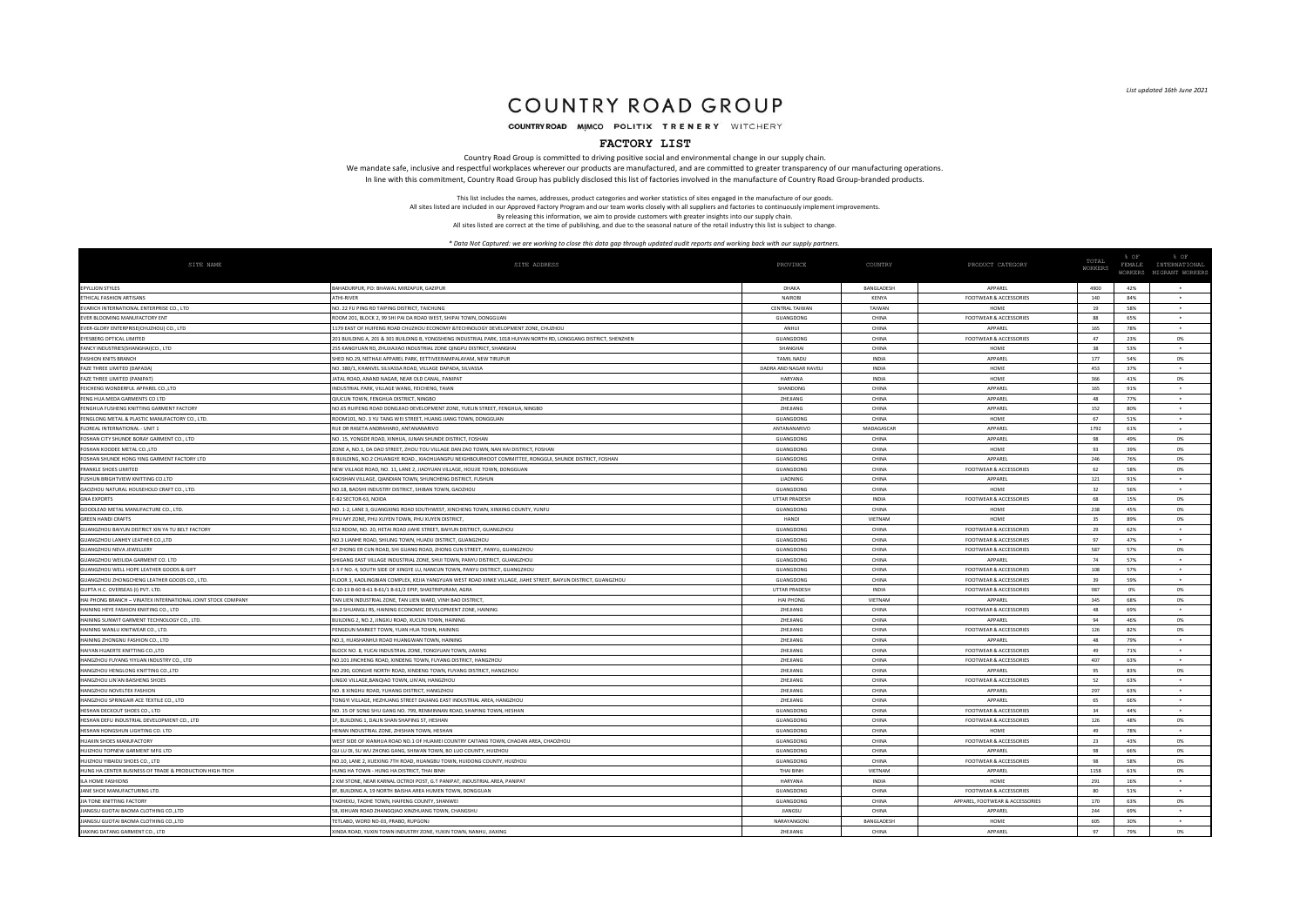# COUNTRY ROAD GROUP

COUNTRY ROAD MIMCO POLITIX TRENERY WITCHERY

### **FACTORY LIST**

Country Road Group is committed to driving positive social and environmental change in our supply chain. We mandate safe, inclusive and respectful workplaces wherever our products are manufactured, and are committed to greater transparency of our manufacturing operations. In line with this commitment, Country Road Group has publicly disclosed this list of factories involved in the manufacture of Country Road Group-branded products.

> This list includes the names, addresses, product categories and worker statistics of sites engaged in the manufacture of our goods. All sites listed are included in our Approved Factory Program and our team works closely with all suppliers and factories to continuously implement improvements. By releasing this information, we aim to provide customers with greater insights into our supply chain.

All sites listed are correct at the time of publishing, and due to the seasonal nature of the retail industry this list is subject to change.

| SITE NAME                                                    | SITE ADDRESS                                                                                                       | PROVINCE               | COUNTRY      | PRODUCT CATEGORY                  | TOTAL<br>WORKER: | $&$ OF<br>FEMALE | % OF<br>INTERNATIONAL  |
|--------------------------------------------------------------|--------------------------------------------------------------------------------------------------------------------|------------------------|--------------|-----------------------------------|------------------|------------------|------------------------|
|                                                              |                                                                                                                    |                        |              |                                   |                  |                  | WORKERS MIGRANT WORKER |
| <b>EPYLLION STYLES</b>                                       | BAHADURPUR, PO: BHAWAL MIRZAPUR, GAZIPUR                                                                           | DHAKA                  | BANGLADESH   | APPAREL                           | 4900             | 42%              |                        |
| ETHICAL FASHION ARTISANS                                     | <b>ATHI-RIVER</b>                                                                                                  | <b>NAIROB</b>          | KENYA        | FOOTWEAR & ACCESSORIES            | 140              | 84%              | $\bullet$              |
| EVARICH INTERNATIONAL ENTERPRISE CO., LTD                    | NO. 22 FU PING RD TAIPING DISTRICT, TAICHUNG                                                                       | CENTRAL TAIWAN         | TAIWAN       | HOME                              | 19               | 58%              |                        |
| EVER BLOOMING MANUFACTORY ENT                                | ROOM 201, BLOCK 2, 99 SHI PAI DA ROAD WEST, SHIPAI TOWN, DONGGUAN                                                  | GUANGDONG              | CHINA        | <b>FOOTWEAR &amp; ACCESSORIES</b> | 88               | 65%              | $\bullet$              |
| EVER-GLORY ENTERPRISE(CHUZHOU) CO., LTD                      | 1179 FAST OF HUIFENG ROAD CHUZHOU FCONOMY &TECHNOLOGY DEVELOPMENT ZONE CHUZHOU                                     | <b>ANHUI</b>           | CHINA        | <b>APPAREL</b>                    | 165              | 78%              | $\ddot{}$              |
| EYESBERG OPTICAL LIMITED                                     | 201 BUILDING A, 201 & 301 BUILDING B, YONGSHENG INDUSTRIAL PARK, 1018 HUIYAN NORTH RD, LONGGANG DISTRICT, SHENZHEN | GUANGDON               | CHINA        | <b>FOOTWEAR &amp; ACCESSORIES</b> | 47               | 23%              | 0%                     |
| FANCY INDUSTRIES(SHANGHAI)CO., LTD                           | 255 KANGYUAN RD, ZHUJIAJIAO INDUSTRIAL ZONE QINGPU DISTRICT, SHANGHA                                               | SHANGHA                | CHINA        | HOME                              | 38               | 53%              | ٠                      |
| <b>FASHION KNITS BRANCH</b>                                  | HED NO.29, NETHAJI APPAREL PARK, EETTIVEERAMPALAYAM, NEW TIRUPUR                                                   | <b>TAMIL NADU</b>      | INDIA        | APPAREL                           | 177              | 54%              | 0%                     |
| FAZE THREE LIMITED (DAPADA)                                  | NO. 380/1, KHANVEL SILVASSA ROAD, VILLAGE DAPADA, SILVASSA                                                         | DADRA AND NAGAR HAVELI | INDIA        | HOME                              | 453              | 37%              |                        |
| FAZE THREE LIMITED (PANIPAT)                                 | JATAL ROAD, ANAND NAGAR, NEAR OLD CANAL, PANIPAT                                                                   | <b>HARYANA</b>         | <b>INDIA</b> | HOME                              | 366              | 41%              | 0%                     |
| FEICHENG WONDERFUL APPAREL CO.,LTD                           | INDUSTRIAL PARK, VILLAGE WANG, FEICHENG, TAIAN                                                                     | SHANDON                | CHINA        | APPAREL                           | 165              | 91%              |                        |
| FENG HUA MEDA GARMENTS CO LTD                                | QIUCUN TOWN, FENGHUA DISTRICT, NINGBO                                                                              | ZHEJIANG               | CHINA        | APPAREL                           | 48               | 77%              | ٠                      |
| FENGHUA FUSHENG KNITTING GARMENT FACTORY                     | NO.65 RUIFENG ROAD DONGJIAO DEVELOPMENT ZONE, YUELIN STREET, FENGHUA, NINGBO                                       | ZHEJIANG               | CHINA        | APPAREL                           | 152              | 80%              |                        |
| FENGLONG METAL & PLASTIC MANUFACTORY CO., LTD.               | ROOM101, NO. 3 YU TANG WEI STREET, HUANG JIANG TOWN, DONGGUAN                                                      | GUANGDONG              | CHINA        | HOME                              | 67               | 51%              | $\;$                   |
| FLOREAL INTERNATIONAL - LINIT 1                              | RUE DR RASETA ANDRAHARO, ANTANANARIVO                                                                              | ANTANANARIVO           | MADAGASCAR   | <b>APPAREL</b>                    | 1792             | 61%              |                        |
| FOSHAN CITY SHUNDE BORAY GARMENT CO., LTD                    | NO. 15, YONGDE ROAD, XINHUA, JUNAN SHUNDE DISTRICT, FOSHAN                                                         | GUANGDONG              | CHINA        | <b>APPAREL</b>                    | 98               | 49%              | 0%                     |
| FOSHAN KOODEE METAL CO.,LTD                                  | ZONE A, NO.1, DA DAO STREET, ZHOU TOU VILLAGE DAN ZAO TOWN, NAN HAI DISTRICT, FOSHAN                               | GUANGDONG              | CHINA        | HOME                              | 93               | 39%              | 0%                     |
| FOSHAN SHUNDE HONG YING GARMENT FACTORY LTD                  | 3 BUILDING, NO.2 CHUANGYE ROAD., XIAOHUANGPU NEIGHBOURHOOT COMMITTEE, RONGGUI, SHUNDE DISTRICT, FOSHAN             | GUANGDONG              | CHINA        | APPAREL                           | 246              | 76%              | 0%                     |
| FRANKLE SHOES LIMITED                                        | NEW VILLAGE ROAD, NO. 11, LANE 2, JIAOYUAN VILLAGE, HOUJIE TOWN, DONGGUAN                                          | GUANGDONG              | CHINA        | FOOTWEAR & ACCESSORIES            | 62               | 58%              | 0%                     |
| FUSHUN BRIGHTVIEW KNITTING CO.LTD                            | AOSHAN VILLAGE, QIANDIAN TOWN, SHUNCHENG DISTRICT, FUSHUN                                                          | LIAONING               | CHINA        | APPAREL                           | 121              | 91%              |                        |
| GAOZHOU NATURAL HOUSEHOLD CRAFT CO., LTD.                    | NO.18, BAOSHI INDUSTRY DISTRICT, SHIBAN TOWN, GAOZHOU                                                              | GUANGDONG              | CHINA        | HOME                              | 32               | 56%              | $\bullet$              |
| <b>GNA EXPORTS</b>                                           | E-82 SECTOR-63, NOIDA                                                                                              | <b>UTTAR PRADESH</b>   | <b>INDIA</b> | <b>FOOTWEAR &amp; ACCESSORIES</b> | 68               | 15%              | 0%                     |
| GOODLEAD METAL MANUFACTURE CO., LTD.                         | NO. 1-2, LANE 3, GUANGXING ROAD SOUTHWEST, XINCHENG TOWN, XINXING COUNTY, YUNFU                                    | GUANGDONG              | CHINA        | <b>HOME</b>                       | 238              | 45%              | 0%                     |
| <b>GREEN HANDLCRAFT</b>                                      | HU MY ZONE, PHU XUYEN TOWN, PHU XUYEN DISTRICT                                                                     | HANOI                  | VIFTNAM      | HOME                              | 35               | 89%              | <b>0%</b>              |
| GUANGZHOU BAIYUN DISTRICT XIN YA TU BELT FACTORY             | 512 ROOM, NO. 20, HETAI ROAD JIAHE STREET, BAIYUN DISTRICT, GUANGZHOU                                              | GUANGDONG              | CHINA        | <b>FOOTWEAR &amp; ACCESSORIES</b> | 29               | 62%              | ٠                      |
| <b>GUANGZHOU LANHEY LEATHER CO.,LTD</b>                      | NO.3 LIANHE ROAD, SHILING TOWN, HUADU DISTRICT, GUANGZHOU                                                          | GUANGDONG              | CHINA        | <b>FOOTWEAR &amp; ACCESSORIES</b> | 97               | 47%              | $\ddot{\phantom{1}}$   |
| <b>GUANGZHOU NEVA JEWELLERY</b>                              | 17 ZHONG ER CUN ROAD, SHI GUANG ROAD, ZHONG CUN STREET, PANYU, GUANGZHOU                                           | GUANGDONG              | CHINA        | <b>FOOTWEAR &amp; ACCESSORIES</b> | 587              | 57%              | 0%                     |
| GUANGZHOU WEILIDA GARMENT CO. LTD                            | HIGANG EAST VILLAGE INDUSTRIAL ZONE, SHUI TOWN, PANYU DISTRICT, GUANGZHOL                                          | GUANGDONG              | CHINA        | <b>APPARE</b>                     | 74               | 57%              |                        |
| GUANGZHOU WELL HOPE LEATHER GOODS & GIFT                     | 1-5 F NO. 4, SOUTH SIDE OF XINGYE LU, NANCUN TOWN, PANYU DISTRICT, GUANGZHOU                                       | GUANGDONG              | CHINA        | <b>FOOTWEAR &amp; ACCESSORIES</b> | 108              | 57%              | $\ddot{\phantom{1}}$   |
| GUANGZHOU ZHONGCHENG LEATHER GOODS CO., LTD.                 | LOOR 3, KAOLINGBIAN COMPLEX, KEJIA YANGYUAN WEST ROAD XINKE VILLAGE, JIAHE STREET, BAIYUN DISTRICT, GUANGZHOU      | GUANGDONG              | CHINA        | <b>FOOTWEAR &amp; ACCESSORIES</b> | 39               | 59%              |                        |
| GUPTA H.C. OVERSEAS (I) PVT ITE                              | C-10-13 B-60 B-61 B-61/1 B-61/2 EPIP, SHASTRIPURAM, AGRA                                                           | <b>UTTAR PRADESH</b>   | <b>INDIA</b> | <b>FOOTWEAR &amp; ACCESSORIES</b> | 987              | 0%               | 0%                     |
| HAI PHONG BRANCH - VINATEX INTERNATIONAL JOINT STOCK COMPANY | TAN LIEN INDUSTRIAL ZONE TAN LIEN WARD, VINH RAO DISTRICT                                                          | HAI PHONO              | VIETNAM      | <b>APPAREL</b>                    | 345              | 68%              | 0%                     |
| HAINING HEYE FASHION KNIITING CO., LTD                       | 36-2 SHUANGLI RS. HAINING ECONOMIC DEVELOPMENT ZONE. HAINING                                                       | <b>ZHE HANG</b>        | CHINA        | <b>FOOTWEAR &amp; ACCESSORIES</b> | 48               | 69%              |                        |
| HAINING SUNWIT GARMENT TECHNOLOGY CO., LTD.                  | BUILDING 2, NO.2, JINGXU ROAD, XUCUN TOWN, HAINING                                                                 | ZHEJIANG               | CHINA        | APPAREL                           | 94               | 46%              | 0%                     |
| HAINING WANLU KNITWEAR CO., LTD.                             | ENGDUN MARKET TOWN, YUAN HUA TOWN, HAINING                                                                         | ZHEJIANG               | CHINA        | FOOTWEAR & ACCESSORIE!            | 126              | 82%              | 0%                     |
| HAINING ZHONGNU FASHION CO., LTD                             | NO.3, HUASHANHUI ROAD HUANGWAN TOWN, HAINING                                                                       | ZHEJIANG               | CHINA        | APPAREL                           | 48               | 79%              | $\bullet$              |
| HAIYAN HUAERTE KNITTING CO.,LTD                              | BLOCK NO. 8, YUCAI INDUSTRIAL ZONE, TONGYUAN TOWN, JIAXING                                                         | ZHEJIANG               | CHINA        | <b>FOOTWEAR &amp; ACCESSORIES</b> | 49               | 71%              |                        |
| HANGZHOU FUYANG YIYUAN INDUSTRY CO., LTD                     | NO.101 JINCHENG ROAD, XINDENG TOWN, FUYANG DISTRICT, HANGZHOU                                                      | <b>ZHE HANG</b>        | CHINA        | <b>FOOTWEAR &amp; ACCESSORIES</b> | 407              | 63%              | $\bullet$              |
| HANGZHOU HENGLONG KNITTING CO.,LTD                           | NO.290. GONGHE NORTH ROAD. XINDENG TOWN. FUYANG DISTRICT. HANGZHOU                                                 | <b>7HF IIANG</b>       | CHINA        | APPAREL                           | 95               | 83%              | 0%                     |
| HANGZHOU LIN'AN BAISHENG SHOES                               | INGXI VILLAGE, BANQIAO TOWN, LIN'AN, HANGZHOU                                                                      | ZHEJIANG               | CHINA        | <b>FOOTWEAR &amp; ACCESSORIES</b> | 52               | 63%              |                        |
| HANGZHOU NOVELTEX FASHIOI                                    | NO 8 XINGHU ROAD YUHANG DISTRICT HANGZHOL                                                                          | <b>ZHEILANG</b>        | CHINA        | <b>APPAREI</b>                    | 297              | 63%              |                        |
| HANGZHOU SPRINGAIR ACE TEXTILE CO., LTD                      | FONGYI VILLAGE, HEZHUANG STREET DAJIANG EAST INDUSTRIAL AREA, HANGZHOU                                             | ZHEJIANG               | CHINA        | APPAREL                           | 65               | 66%              |                        |
| HESHAN DECKOUT SHOES CO., LTD                                | NO. 15 OF SONG SHU GANG NO. 799, RENMINNAN ROAD, SHAPING TOWN, HESHAN                                              | GUANGDONG              | CHINA        | <b>FOOTWEAR &amp; ACCESSORIES</b> | 34               | 44%              | $\ddot{\phantom{1}}$   |
| HESHAN DEFU INDUSTRIAL DEVELOPMENT CO., LTD                  | IF, BUILDING 1, DALIN SHAN SHAPING ST, HESHAN                                                                      | GUANGDONG              | CHINA        | FOOTWEAR & ACCESSORIES            | 126              | 48%              | 0%                     |
| HESHAN HONGSHUN LIGHTING CO. LTD                             | HENAN INDUSTRIAL ZONE, ZHISHAN TOWN, HESHAN                                                                        | GUANGDONG              | CHINA        | HOM                               | 49               | 78%              |                        |
| HUAXIN SHOES MANUFACTORY                                     | WEST SIDE OF XIANHUA ROAD NO.1 OF HUAMEI COUNTRY CAITANG TOWN, CHAOAN AREA, CHAOZHOU                               | GUANGDONG              | CHINA        | <b>FOOTWEAR &amp; ACCESSORIES</b> | 23               | 43%              | 0%                     |
| HUIZHOU TOPNEW GARMENT MFG LTD                               | QU LU DI, SU WU ZHONG GANG, SHIWAN TOWN, BO LUO COUNTY, HUIZHOU                                                    | GUANGDONG              | CHINA        | APPAREL                           | 98               | 66%              | 0%                     |
| HUIZHOU YIRAIDU SHOES CO. ITD                                | NO.10, LANE 2, XUEXING 7TH ROAD, HUANGBU TOWN, HUIDONG COUNTY, HUIZHOU                                             | GUANGDONG              | CHINA        | <b>FOOTWEAR &amp; ACCESSORIES</b> | 98               | 58%              | 0%                     |
| HUNG HA CENTER BUSINESS OF TRADE & PRODUCTION HIGH-TECH      | HUNG HA TOWN - HUNG HA DISTRICT THAI RINH                                                                          | <b>THAI RINH</b>       | VIFTNAM      | <b>APPAREL</b>                    | 1158             | 61%              | <b>0%</b>              |
| ILA HOME FASHIONS                                            | 2 KM STONE, NEAR KARNAL OCTROI POST, G.T PANIPAT, INDUSTRIAL AREA, PANIPAT                                         | HARYANA                | <b>INDIA</b> | HOME                              | 291              | 16%              |                        |
| JANE SHOE MANUFACTURING LTD.                                 | 3F, BUILDING A, 19 NORTH BAISHA AREA HUMEN TOWN, DONGGUAN                                                          | GUANGDONG              | CHINA        | <b>FOOTWEAR &amp; ACCESSORIES</b> | 80               | 51%              |                        |
| JIA TONE KNITTING FACTORY                                    | <b>FAOHEXU, TAOHE TOWN, HAIFENG COUNTY, SHANWE</b>                                                                 | GUANGDONG              | CHINA        | APPAREL, FOOTWEAR & ACCESSORIES   | 170              | 63%              | 0%                     |
| JIANGSU GUOTAI BAOMA CLOTHING CO.,LTD                        | 58, XIHUAN ROAD ZHANGQIAO XINZHUANG TOWN, CHANGSHU                                                                 | <b>HANGSL</b>          | CHINA        | APPAREL                           | 244              | 69%              | $\bullet$              |
| JIANGSU GUOTAI BAOMA CLOTHING CO.,LTD                        | TETLABO, WORD NO-03, PRABO, RUPGONJ                                                                                | NARAYANGON.            | BANGLADESH   | HOME                              | 605              | 30%              |                        |
| JIAXING DATANG GARMENT CO., LTD                              | XINDA ROAD, YUXIN TOWN INDUSTRY ZONE, YUXIN TOWN, NANHU, JIAXING                                                   | <b>ZHEILANG</b>        | CHINA        | <b>APPAREL</b>                    | 97               | 79%              | <b>0%</b>              |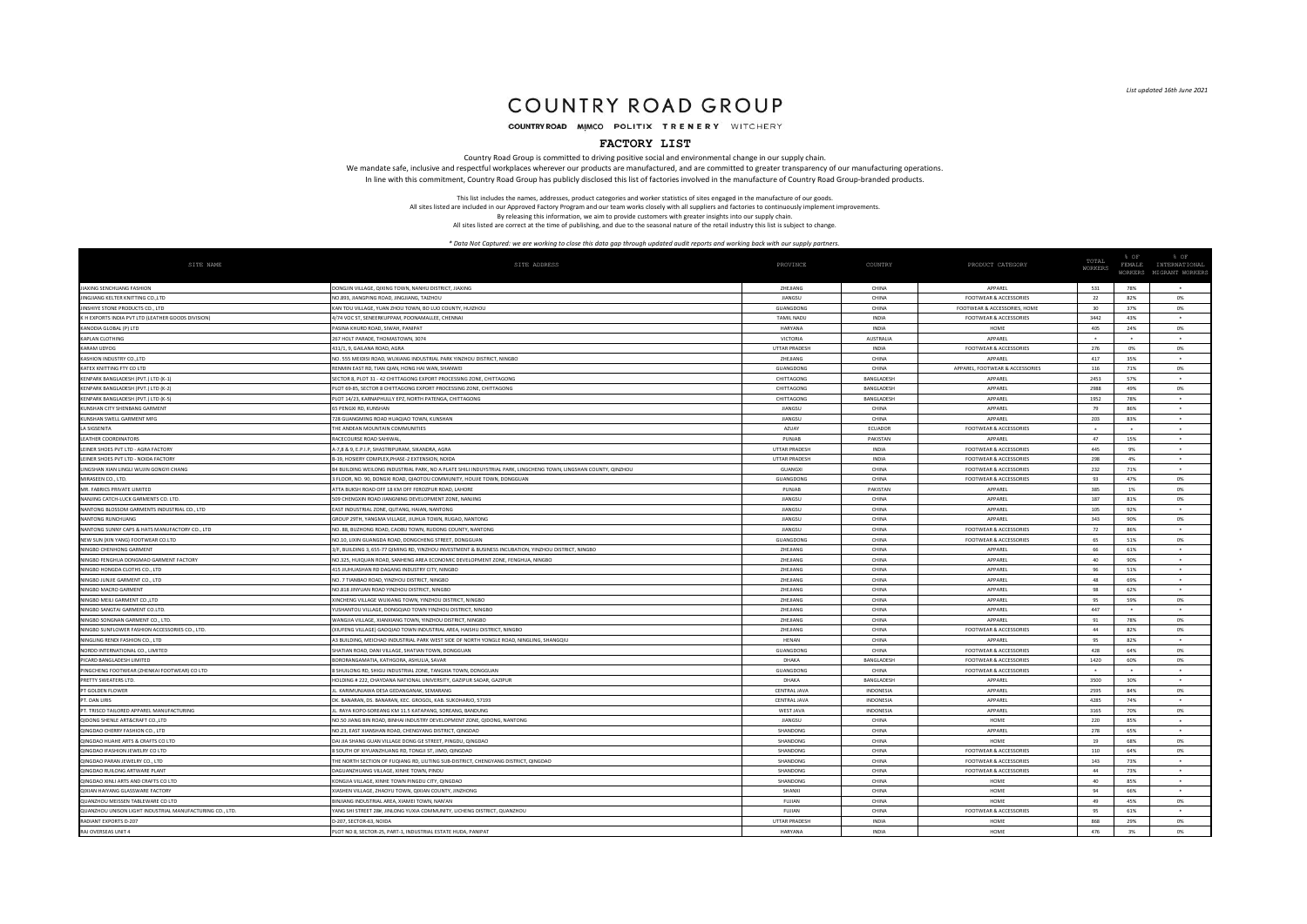### COUNTRY ROAD GROUP

COUNTRY ROAD MIMCO POLITIX TRENERY WITCHERY

### **FACTORY LIST**

Country Road Group is committed to driving positive social and environmental change in our supply chain. We mandate safe, inclusive and respectful workplaces wherever our products are manufactured, and are committed to greater transparency of our manufacturing operations. In line with this commitment, Country Road Group has publicly disclosed this list of factories involved in the manufacture of Country Road Group-branded products.

> This list includes the names, addresses, product categories and worker statistics of sites engaged in the manufacture of our goods. All sites listed are included in our Approved Factory Program and our team works closely with all suppliers and factories to continuously implement improvements. By releasing this information, we aim to provide customers with greater insights into our supply chain.

All sites listed are correct at the time of publishing, and due to the seasonal nature of the retail industry this list is subject to change.

| SITE NAME                                                | SITE ADDRESS                                                                                                          | PROVINCE             | COUNTRY           | PRODUCT CATEGORY                  | TOTAL<br><b>WORKERS</b> | % OF<br>FEMALE | % OF<br>INTERNATIONAL   |
|----------------------------------------------------------|-----------------------------------------------------------------------------------------------------------------------|----------------------|-------------------|-----------------------------------|-------------------------|----------------|-------------------------|
|                                                          |                                                                                                                       |                      |                   |                                   |                         |                | WORKERS MIGRANT WORKERS |
| JIAXING SENCHUANG FASHION                                | DONGJIN VILLAGE, QIXING TOWN, NANHU DISTRICT, JIAXING                                                                 | <b>7HE IIANG</b>     | CHINA             | <b>APPAREL</b>                    | 531                     | 78%            |                         |
| JINGJIANG KELTER KNITTING CO., LTD                       | NO 893 HANGPING ROAD HNGHANG TAIZHOL                                                                                  | <b>HANGSL</b>        | CHINA             | <b>FOOTWEAR &amp; ACCESSORIES</b> | 22                      | 82%            | 0%                      |
| JINSHIYE STONE PRODUCTS CO., LTD                         | KAN TOU VILLAGE, YUAN ZHOU TOWN, BO LUO COUNTY, HUIZHOU                                                               | GUANGDONG            | CHINA             | FOOTWEAR & ACCESSORIES, HOME      | 30                      | 37%            | 0%                      |
| K H EXPORTS INDIA PVT LTD (LEATHER GOODS DIVISION)       | 1/74 VOC ST, SENEERKUPPAM, POONAMALLEE, CHENNAI                                                                       | <b>TAMIL NADU</b>    | <b>INDIA</b>      | <b>FOOTWEAR &amp; ACCESSORIES</b> | 3442                    | 43%            |                         |
| KANODIA GLOBAL (P) LTD                                   | PASINA KHURD ROAD, SIWAH, PANIPAT                                                                                     | HARYANA              | INDIA             | HOME                              | 405                     | 24%            | 0%                      |
| KAPLAN CLOTHING                                          | 267 HOLT PARADE, THOMASTOWN, 3074                                                                                     | VICTORIA             | AUSTRALIA         | APPAREL                           | $\ddot{\phantom{1}}$    |                | $\ddot{}$               |
| KARAM UDYOG                                              | 431/1 9 GAILANA ROAD AGRA                                                                                             | <b>UTTAR PRADESH</b> | <b>INDIA</b>      | <b>FOOTWEAR &amp; ACCESSORIES</b> | 276                     | 0%             | 0%                      |
| KASHION INDUSTRY CO.,LTD                                 | NO. 555 MEIDISI ROAD, WUXIANG INDUSTRIAL PARK YINZHOU DISTRICT, NINGBO                                                | <b>7HE IIANG</b>     | CHINA             | <b>APPAREL</b>                    | 417                     | 35%            | ٠                       |
| KATEX KNITTING FTY CO LTD                                | RENMIN EAST RD, TIAN QIAN, HONG HAI WAN, SHANWEI                                                                      | GUANGDON             | CHINA             | APPAREL, FOOTWEAR & ACCESSORIES   | 116                     | 71%            | 0%                      |
| KENPARK BANGLADESH (PVT.) LTD (K-1)                      | SECTOR 8, PLOT 31 - 42 CHITTAGONG EXPORT PROCESSING ZONE, CHITTAGONG                                                  | CHITTAGONG           | <b>BANGLADESH</b> | <b>APPAREI</b>                    | 2453                    | 57%            | ٠                       |
| KENPARK BANGLADESH (PVT.) LTD (K-2)                      | PLOT 69-85, SECTOR 8 CHITTAGONG EXPORT PROCESSING ZONE, CHITTAGONG                                                    | CHITTAGONG           | BANGLADESH        | APPAREL                           | 2988                    | 49%            | 0%                      |
| KENPARK BANGLADESH (PVT.) LTD (K-5)                      | PLOT 14/23, KARNAPHULLY EPZ, NORTH PATENGA, CHITTAGONG                                                                | CHITTAGONG           | BANGLADESH        | APPAREL                           | 1952                    | 78%            | $\ddot{\phantom{1}}$    |
| <b>KUNSHAN CITY SHENBANG GARMENT</b>                     | 65 PENGXI RD KUNSHAN                                                                                                  | <b>HANGSH</b>        | CHINA             | APPAREL                           | 79                      | 86%            | ٠                       |
| KUNSHAN SWELL GARMENT MFG                                | 728 GUANGMING ROAD HUAQIAO TOWN, KUNSHAN                                                                              | <b>HANGSI</b>        | CHINA             | APPAREL                           | 203                     | 83%            | $\Delta$                |
| <b>LA SIGSENITA</b>                                      | THE ANDEAN MOUNTAIN COMMUNITIES                                                                                       | AZUAY                | ECUADOR           | <b>FOOTWEAR &amp; ACCESSORIES</b> | $\ddot{\phantom{1}}$    |                | ٠                       |
| <b>LEATHER COORDINATORS</b>                              | RACECOURSE ROAD SAHIWAI                                                                                               | PUNJAB               | PAKISTAN          | APPAREL                           | 47                      | 15%            |                         |
| LEINER SHOES PVT LTD - AGRA FACTORY                      | 4-7,8 & 9, E.P.I.P, SHASTRIPURAM, SIKANDRA, AGRA                                                                      | UTTAR PRADESH        | INDIA             | <b>FOOTWEAR &amp; ACCESSORIES</b> | 445                     | 9%             | $\bullet$               |
| LEINER SHOES PVT LTD - NOIDA FACTORY                     | B-19, HOSIERY COMPLEX, PHASE-2 EXTENSION, NOIDA                                                                       | <b>UTTAR PRADESH</b> | <b>INDIA</b>      | <b>FOOTWEAR &amp; ACCESSORIES</b> | 298                     | 4%             |                         |
| LINGSHAN XIAN LINGLI WUJIN GONGYI CHANG                  | .<br>B4 BUILDING WEILONG INDUSTRIAL PARK, NO A PLATE SHILI INDUYSTRIAL PARK, LINGCHENG TOWN, LINGSHAN COUNTY, QINZHOU | GUANGXI              | CHINA             | <b>FOOTWEAR &amp; ACCESSORIES</b> | 232                     | 71%            | $\sim$                  |
| MIRASEEN CO., LTD.                                       | 3 FLOOR, NO. 90, DONGXI ROAD, QIAOTOU COMMUNITY, HOUJIE TOWN, DONGGUAN                                                | GUANGDONG            | CHINA             | FOOTWEAR & ACCESSORIES            | 93                      | 47%            | 0%                      |
| MR. FABRICS PRIVATE LIMITED                              | ATTA BUKSH ROAD OFF 18 KM OFF FEROZPUR ROAD, LAHOR                                                                    | PUNJAB               | PAKISTAN          | APPAREL                           | 385                     | 1%             | 0%                      |
| NANJING CATCH-LUCK GARMENTS CO. LTD.                     | 509 CHENGXIN ROAD JIANGNING DEVELOPMENT ZONE, NANJING                                                                 | JIANGSU              | CHINA             | APPAREL                           | 187                     | 81%            | 0%                      |
| NANTONG BLOSSOM GARMENTS INDUSTRIAL CO., LTD             | AST INDUSTRIAL ZONE, QUTANG, HAIAN, NANTONG                                                                           | JIANGSU              | CHINA             | APPAREL                           | 105                     | 92%            |                         |
| NANTONG RUNCHUANG                                        | GROUP 29TH, YANGMA VILLAGE, IILIHUA TOWN, RUGAO, NANTONG                                                              | <b>HANGSL</b>        | CHINA             | <b>APPAREL</b>                    | 343                     | 90%            | 0%                      |
| NANTONG SUNNY CAPS & HATS MANUFACTORY CO., LTD           | NO. 88, BUZHONG ROAD, CAOBU TOWN, RUDONG COUNTY, NANTONG                                                              | <b>HANGSL</b>        | CHINA             | <b>FOOTWEAR &amp; ACCESSORIES</b> | 72                      | 86%            | $\ddot{}$               |
| NEW SUN (XIN YANG) FOOTWEAR CO.LTD                       | NO.10, LIXIN GUANGDA ROAD, DONGCHENG STREET, DONGGUAN                                                                 | GUANGDONG            | CHINA             | <b>FOOTWEAR &amp; ACCESSORIES</b> | 65                      | 51%            | 0%                      |
| NINGBO CHENHONG GARMENT                                  | 3/F, BUILDING 3, 655-77 QIMING RD, YINZHOU INVESTMENT & BUSINESS INCUBATION, YINZHOU DISTRICT, NINGBO                 | ZHEJIANG             | CHINA             | APPAREL                           | 66                      | 61%            | $\bullet$               |
| NINGBO FENGHUA DONGMAO GARMENT FACTORY                   | NO.325, HUIQUAN ROAD, SANHENG AREA ECONOMIC DEVELOPMENT ZONE, FENGHUA, NINGBO                                         | ZHEJIANG             | CHINA             | APPAREL                           | 40                      | 90%            |                         |
| NINGBO HONGDA CLOTHS CO., LTD                            | 415 JIUHUASHAN RD DAGANG INDUSTRY CITY, NINGBO                                                                        | ZHEJIANG             | CHINA             | APPAREL                           | 96                      | 51%            | $\ddot{\phantom{1}}$    |
| NINGBO JUNJIE GARMENT CO., LTD                           | NO. 7 TIANBAO ROAD, YINZHOU DISTRICT, NINGBO                                                                          | ZHEJIANG             | CHINA             | APPAREL                           | 48                      | 69%            | $\ddot{\phantom{1}}$    |
| NINGBO MACRO GARMENT                                     | NO.818 JINYUAN ROAD YINZHOU DISTRICT, NINGBC                                                                          | <b>7HE IIANG</b>     | CHINA             | <b>APPAREL</b>                    | 98                      | 62%            | $\ddot{\phantom{1}}$    |
| NINGBO MEILI GARMENT CO.,LTD                             | KINCHENG VILLAGE WUXIANG TOWN, YINZHOU DISTRICT, NINGBO                                                               | <b>7HE IIANG</b>     | CHINA             | <b>APPAREL</b>                    | 95                      | 59%            | 0%                      |
| NINGBO SANGTAI GARMENT CO.LTD                            | (USHANTOU VILLAGE, DONGQIAO TOWN YINZHOU DISTRICT, NINGBO                                                             | ZHEJIANG             | CHINA             | APPAREL                           | 447                     |                |                         |
| NINGBO SONGNAN GARMENT CO., LTD                          | WANGJIA VILLAGE, XIANXIANG TOWN, YINZHOU DISTRICT, NINGBO                                                             | ZHEJIANG             | CHINA             | APPAREL                           | Q <sub>1</sub>          | 78%            | 0%                      |
| NINGBO SUNFLOWER FASHION ACCESSORIES CO., LTD.           | XIUFENG VILLAGE) GAOQIAO TOWN INDUSTRIAL AREA, HAISHU DISTRICT, NINGBO                                                | ZHEJIANG             | CHINA             | <b>FOOTWEAR &amp; ACCESSORIES</b> | 44                      | 82%            | 0%                      |
| NINGLING RENDI FASHION CO., LTD                          | A3 BUILDING, MEICHAO INDUSTRIAL PARK WEST SIDE OF NORTH YONGLE ROAD, NINGLING, SHANGQIU                               | HENAN                | CHINA             | APPAREL                           | 95                      | 82%            | $\ddot{\phantom{1}}$    |
| NORDD INTERNATIONAL CO., LIMITED                         | SHATIAN ROAD, DANI VILLAGE, SHATIAN TOWN, DONGGUAN                                                                    | GUANGDONG            | CHINA             | <b>FOOTWEAR &amp; ACCESSORIES</b> | 428                     | 64%            | <b>0%</b>               |
| PICARD BANGLADESH LIMITED                                | BORORANGAMATIA, KATHGORA, ASHULIA, SAVAR                                                                              | DHAKA                | BANGLADESH        | <b>FOOTWEAR &amp; ACCESSORIES</b> | 1420                    | 60%            | 0%                      |
| PINGCHENG FOOTWEAR (ZHENKAI FOOTWEAR) CO LTD             | SHUILONG RD, SHIGU INDUSTRIAL ZONE, TANGXIA TOWN, DONGGUAN                                                            | GUANGDONG            | CHINA             | <b>FOOTWEAR &amp; ACCESSORIES</b> | $\sim$                  |                | $\ddot{\phantom{1}}$    |
| PRETTY SWEATERS LTD                                      | HOLDING # 222, CHAYDANA NATIONAL UNIVERSITY, GAZIPUR SADAR, GAZIPUR                                                   | DHAKA                | BANGLADESH        | APPAREL                           | 3500                    | 30%            |                         |
| PT GOLDEN FLOWER                                         | L. KARIMUNJAWA DESA GEDANGANAK, SEMARANG                                                                              | <b>CENTRAL JAVA</b>  | INDONESIA         | APPAREL                           | 2595                    | 84%            | 0%                      |
| PT DAN LIRIS                                             | OK, BANARAN, DS, BANARAN, KEC, GROGOL, KAB, SUKOHARJO, 57193                                                          | CENTRAL JAVA         | <b>INDONESU</b>   | APPAREL                           | 4285                    | 74%            | $\ddot{}$               |
| PT. TRISCO TAILORED APPAREL MANUFACTURING                | IL RAYA KOPO-SOREANG KM 11 5 KATAPANG SOREANG BANDUNG                                                                 | WEST JAVA            | <b>INDONESU</b>   | APPAREL                           | 3165                    | 70%            | 0%                      |
| QIDONG SHENLE ART&CRAFT CO.,LTD                          | NO.50 JIANG BIN ROAD, BINHAI INDUSTRY DEVELOPMENT ZONE, QIDONG, NANTONG                                               | <b>HANGSH</b>        | CHINA             | HOME                              | 220                     | 85%            |                         |
| QINGDAO CHERRY FASHION CO., LTD                          | NO.23, EAST XIANSHAN ROAD, CHENGYANG DISTRICT, QINGDAC                                                                | SHANDONG             | CHINA             | APPAREL                           | 278                     | 65%            |                         |
| QINGDAO HUAHE ARTS & CRAFTS CO LTD                       | DAI JIA SHANG GUAN VILLAGE DONG GE STREET, PINGDU, QINGDAO                                                            | SHANDONG             | CHINA             | HOME                              | 19                      | 68%            | 0%                      |
| QINGDAO IFASHION JEWELRY CO LTD                          | SOUTH OF XIYUANZHUANG RD, TONGJI ST, JIMO, QINGDAO                                                                    | SHANDONG             | CHINA             | FOOTWEAR & ACCESSORIES            | 110                     | 64%            | 0%                      |
| OINGDAO PARAN IFWELRY CO. LTD                            | THE NORTH SECTION OF FUQIANG RD, LIUTING SUB-DISTRICT, CHENGYANG DISTRICT, QINGDAO                                    | SHANDON              | CHINA             | <b>FOOTWEAR &amp; ACCESSORIES</b> | 143                     | 73%            | $\ddot{\phantom{1}}$    |
| QINGDAO RUILONG ARTWARE PLANT                            | DAGUANZHUANG VILLAGE, XINHE TOWN, PINDU                                                                               | SHANDONG             | CHINA             | <b>FOOTWEAR &amp; ACCESSORIES</b> | 44                      | 73%            | $\ddot{}$               |
| QINGDAO XINLI ARTS AND CRAFTS CO LTD                     | KONGJIA VILLAGE, XINHE TOWN PINGDU CITY, QINGDAO                                                                      | SHANDON              | CHINA             | HOME                              | 40                      | 85%            | ٠                       |
| <b>QIXIAN HAIYANG GLASSWARE FACTORY</b>                  | (IASHEN VILLAGE, ZHAOYU TOWN, QIXIAN COUNTY, JINZHONG                                                                 | SHANX                | CHINA             | <b>HOME</b>                       | 94                      | 66%            | ٠                       |
| QUANZHOU MEISSEN TABLEWARE CO LTD                        | INJIANG INDUSTRIAL AREA, XIAMEI TOWN, NAN'AN                                                                          | FUJIAN               | CHINA             | HOME                              | 49                      | 45%            | 0%                      |
| QUANZHOU UNISON LIGHT INDUSTRIAL MANUFACTURING CO., LTD. | YANG SHI STREET 28#, JINLONG YUXIA COMMUNITY, LICHENG DISTRICT, QUANZHOU                                              | FUJIAN               | CHINA             | <b>FOOTWEAR &amp; ACCESSORIES</b> | 95                      | 61%            | $\bullet$               |
| RADIANT EXPORTS D-207                                    | D-207, SECTOR-63, NOIDA                                                                                               | UTTAR PRADESH        | INDIA             | HOME                              | 868                     | 29%            | 0%                      |
| RAJ OVERSEAS UNIT 4                                      | PLOT NO 8, SECTOR-25, PART-1, INDUSTRIAL ESTATE HUDA, PANIPAT                                                         | HARYANA              | <b>INDIA</b>      | HOME                              | 476                     | 3%             | <b>0%</b>               |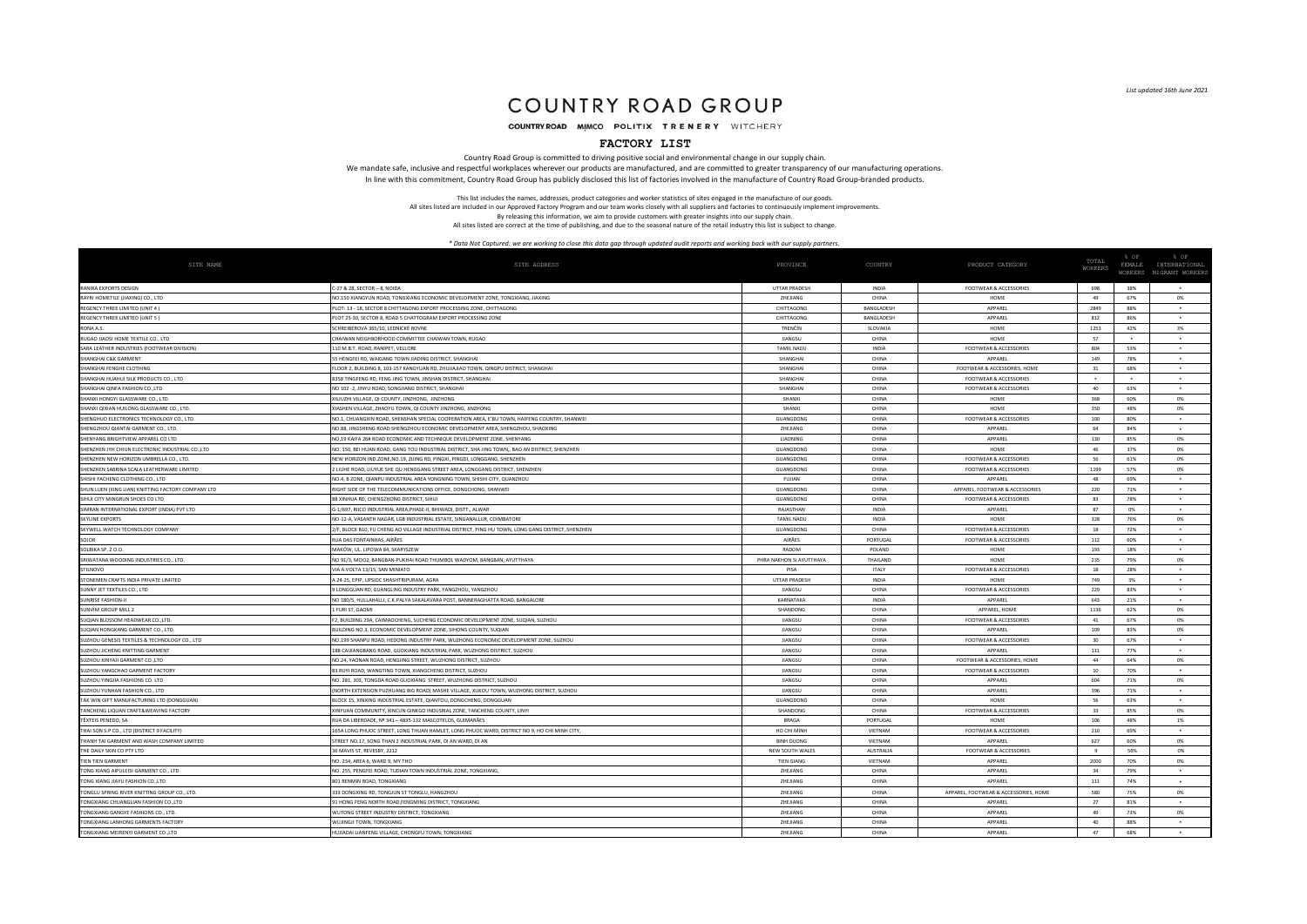# COUNTRY ROAD GROUP

COUNTRY ROAD MIMCO POLITIX TRENERY WITCHERY

### **FACTORY LIST**

Country Road Group is committed to driving positive social and environmental change in our supply chain. We mandate safe, inclusive and respectful workplaces wherever our products are manufactured, and are committed to greater transparency of our manufacturing operations. In line with this commitment, Country Road Group has publicly disclosed this list of factories involved in the manufacture of Country Road Group-branded products.

> This list includes the names, addresses, product categories and worker statistics of sites engaged in the manufacture of our goods. All sites listed are included in our Approved Factory Program and our team works closely with all suppliers and factories to continuously implement improvements.

By releasing this information, we aim to provide customers with greater insights into our supply chain. All sites listed are correct at the time of publishing, and due to the seasonal nature of the retail industry this list is subject to change.

| SITE NAME                                                  | SITE ADDRESS                                                                                                  | PROVINCE                 | COUNTRY           | PRODUCT CATEGORY                      | TOTAL<br><b>WORKERS</b> | % OF<br>FEMALE | % OF<br>INTERNATIONAL<br>WORKERS MIGRANT WORKER |
|------------------------------------------------------------|---------------------------------------------------------------------------------------------------------------|--------------------------|-------------------|---------------------------------------|-------------------------|----------------|-------------------------------------------------|
|                                                            |                                                                                                               | <b>UTTAR PRADESH</b>     | INDIA             |                                       | 698                     | 38%            |                                                 |
| RANIKA EXPORTS DESIGN<br>RAYRI HOMETILE (JIAXING) CO., LTD | C-27 & 28, SECTOR - 8, NOIDA<br>NO.150 XIANGYUN ROAD, TONGXIANG ECONOMIC DEVELOPMENT ZONE, TONGXIANG, JIAXING | ZHEJIANG                 | CHINA             | FOOTWEAR & ACCESSORIES<br>HOME        | 49                      | 67%            | 0%                                              |
| REGENCY THREE LIMITED (UNIT 4)                             | LOT: 13 - 18, SECTOR 8 CHITTAGONG EXPORT PROCESSING ZONE, CHITTAGONG                                          | CHITTAGONG               | <b>BANGLADESH</b> | APPAREI                               | 2849                    | 88%            |                                                 |
| REGENCY THREE LIMITED (UNIT 5)                             | PLOT 25-30, SECTOR 8, ROAD 5 CHATTOGRAM EXPORT PROCESSING ZONE                                                | CHITTAGONG               | <b>BANGLADESH</b> | APPAREL                               | 812                     | 86%            | $\bullet$                                       |
| RONA A.S.                                                  | SCHREIBEROVA 365/10. LEDNICKÉ ROVNE                                                                           | TRENČÍN                  | SLOVAKIA          | HOME                                  | 1253                    | 42%            | 3%                                              |
| RUGAO JIAOSI HOME TEXTILE CO., LTD                         | CHAIWAN NEIGHBORHOOD COMMITTEE CHAIWAN TOWN, RUGAO                                                            | <b>HANGSI</b>            | CHINA             | HOME                                  | 57                      |                | $\rightarrow$                                   |
| SARA LEATHER INDUSTRIES (FOOTWEAR DIVISION)                | 110 M.B.T. ROAD, RANIPET, VELLORE                                                                             | <b>TAMIL NADU</b>        | <b>INDIA</b>      | <b>FOOTWEAR &amp; ACCESSORIES</b>     | 804                     | 53%            | $\ddot{\phantom{1}}$                            |
| SHANGHAI C&K GARMENT                                       | 5 HENGFEI RD, WAIGANG TOWN JIADING DISTRICT, SHANGHA                                                          | SHANGHA                  | CHINA             | APPARE                                | 149                     | 78%            |                                                 |
| SHANGHAI FENGHE CLOTHING                                   | FLOOR 2, BUILDING 8, 103-157 KANGYUAN RD, ZHUJIAJIAO TOWN, QINGPU DISTRICT, SHANGHAI                          | SHANGHA                  | CHINA             | FOOTWEAR & ACCESSORIES, HOME          | 31                      | 68%            | $\sim$                                          |
| SHANGHAI HUAHUI SILK PRODUCTS CO., LTD                     | 8358 TINGFENG RD, FENG JING TOWN, JINSHAN DISTRICT, SHANGHA                                                   | SHANGHAL                 | CHINA             | <b>FOOTWEAR &amp; ACCESSORIES</b>     |                         |                |                                                 |
| SHANGHAI QINFA FASHION CO.,LTD                             | NO 102 -2, JINYU ROAD, SONGJIANG DISTRICT, SHANGHAI                                                           | SHANGHA                  | CHINA             | <b>FOOTWEAR &amp; ACCESSORIES</b>     | 40                      | 63%            | $\ddot{\phantom{1}}$                            |
| SHANXI HONGYI GLASSWARE CO., LTD                           | XILIUZHI VILLAGE, QI COUNTY, JINZHONG, JINZHONG                                                               | SHANXI                   | CHINA             | HOME                                  | 368                     | 60%            | 0%                                              |
| SHANXI QIXIAN HUILONG GLASSWARE CO., LTD.                  | KIASHEN VILLAGE, ZHAOYU TOWN, QI COUNTY JINZHONG, JINZHONG                                                    | SHANXI                   | CHINA             | HOME                                  | 350                     | 48%            | 0%                                              |
| SHENGHUO ELECTRONICS TECHNOLOGY CO., LTD                   | NO.1, CHUANGXIN ROAD, SHENSHAN SPECIAL COOPERATION AREA, E'BU TOWN, HAIFENG COUNTRY, SHANWEI                  | GUANGDONG                | CHINA             | <b>FOOTWEAR &amp; ACCESSORIES</b>     | 100                     | 80%            | $\ddot{\phantom{1}}$                            |
| SHENGZHOU QIANTAI GARMENT CO., LTD.                        | NO.88, JINGSHENG ROAD SHENGZHOU ECONOMIC DEVELOPMENT AREA, SHENGZHOU, SHAOXING                                | ZHEJIANG                 | CHINA             | APPAREI                               | 64                      | 84%            |                                                 |
| SHENYANG BRIGHTVIEW APPAREL CO LTD                         | NO.19 KAIFA 26# ROAD ECONOMIC AND TECHNIQUE DEVELOPMENT ZONE, SHENYANG                                        | LIAONING                 | CHINA             | APPAREL                               | 130                     | 85%            | 0%                                              |
| SHENZHEN JYH CHIUN ELECTRONIC INDUSTRIAL CO., LTD          | NO. 150, BEI HUAN ROAD, GANG TOU INDUSTRIAL DISTRICT, SHA JING TOWN,, BAO AN DISTRICT, SHENZHEN               | GUANGDONG                | CHINA             | HOME                                  | 46                      | 37%            | 0%                                              |
| SHENZHEN NEW HORIZON UMBRELLA CO., LTD                     | NEW HORIZON IND.ZONE, NO.19, ZUING RD, PINGXI, PINGDI, LONGGANG, SHENZHEN                                     | GUANGDONG                | CHINA             | <b>FOOTWEAR &amp; ACCESSORIES</b>     | 56                      | 61%            | 0%                                              |
| SHENZHEN SABRINA SCALA LEATHERWARE LIMITED                 | 2 LIUHE ROAD, LIUYUE SHE QU HENGGANG STREET AREA, LONGGANG DISTRICT, SHENZHEN                                 | GUANGDONG                | CHINA             | <b>FOOTWEAR &amp; ACCESSORIES</b>     | 1199                    | 57%            | 0%                                              |
| SHISHI FACHENG CLOTHING CO., LTD                           | NO.4, B ZONE, QIANPU INDUSTRIAL AREA YONGNING TOWN, SHISHI CITY, QUANZHOU                                     | FUJIAN                   | CHINA             | APPAREI                               | 48                      | 69%            |                                                 |
| SHUN LUEN (XING LIAN) KNITTING FACTORY COMPANY LTD         | RIGHT SIDE OF THE TELECOMMUNICATIONS OFFICE, DONGCHONG, SHANWEI                                               | GUANGDONG                | CHINA             | APPAREL, FOOTWEAR & ACCESSORIES       | 220                     | 71%            | $\bullet$                                       |
| SIHUI CITY MINGRUN SHOES CO LTD                            | <b>88 XINHUA RD, CHENGZHONG DISTRICT, SIHUI</b>                                                               | GUANGDONG                | CHINA             | <b>FOOTWEAR &amp; ACCESSORIES</b>     | 83                      | 78%            | $\ddot{\phantom{1}}$                            |
| SIMRAN INTERNATIONAL EXPORT (INDIA) PVT LTD                | G-1/697, RIICO INDUSTRIAL AREA, PHASE-II, BHIWADI, DISTT., ALWAR                                              | RAIASTHAN                | <b>INDIA</b>      | <b>APPAREI</b>                        | 87                      | 0%             | $\sim$                                          |
| <b>SKYLINE EXPORTS</b>                                     | NO-12-A, VASANTH NAGAR, LGB INDUSTRIAL ESTATE, SINGANALLUR, COIMBATORI                                        | <b>TAMIL NADU</b>        | <b>INDIA</b>      | HOME                                  | 328                     | 76%            | 0%                                              |
| SKYWELL WATCH TECHNOLOGY COMPANY                           | !/F, BLOCK B10, FU CHENG AO VILLAGE INDUSTRIAL DISTRICT, PING HU TOWN, LONG GANG DISTRICT, SHENZHEN           | GUANGDONG                | CHINA             | <b>FOOTWEAR &amp; ACCESSORIES</b>     | 18                      | 72%            |                                                 |
| SOJOR                                                      | RUA DAS FONTAINHAS, AIRÃES                                                                                    | AIRÃES                   | PORTUGAL          | <b>FOOTWEAR &amp; ACCESSORIES</b>     | 112                     | 60%            | $\bullet$                                       |
| SOLBIKA SP. Z O.O.                                         | MAKÓW. UL. LIPOWA 84. SKARYSZEW                                                                               | RADOM                    | POLAND            | HOME                                  | 193                     | 18%            |                                                 |
| SRIWATANA WOODING INDUSTRIES CO., LTD                      | NO 91/3, MOO2, BANGBAN-PUKHAI ROAD THUMBOL WADYOM, BANGBAN, AYUTTHAYA                                         | PHRA NAKHON SI AYUTTHAYA | <b>THAILAND</b>   | HOME                                  | 235                     | 79%            | 0%                                              |
| <b>STILNOVO</b>                                            | VIA A.VOLTA 13/15, SAN MINIATO                                                                                | PISA                     | <b>ITALY</b>      | <b>FOOTWEAR &amp; ACCESSORIES</b>     | 18                      | 28%            | $\ddot{\phantom{1}}$                            |
| STONEMEN CRAFTS INDIA PRIVATE LIMITED                      | A 24-25, EPIP, UPSIDC SHASHTRIPURAM, AGRA                                                                     | UTTAR PRADESH            | <b>INDIA</b>      | HOME                                  | 749                     | 3%             |                                                 |
| SUNNY JET TEXTILES CO., LTD                                | LONGGUAN RD, GUANGLING INDUSTRY PARK, YANGZHOU, YANGZHOU                                                      | JIANGSL                  | CHINA             | <b>FOOTWEAR &amp; ACCESSORIES</b>     | 229                     | 83%            | $\ddot{\phantom{1}}$                            |
| <b>SUNRISE FASHION-I</b>                                   | NO 180/5, HULLAHALLI, C.K.PALYA SAKALAVARA POST, BANNERAGHATTA ROAD, BANGALORE                                | <b>KARNATAKA</b>         | INDIA             | APPAREL                               | 643                     | 21%            |                                                 |
| SUNVIM GROUP MILL 2                                        | 1 FURI ST, GAOMI                                                                                              | SHANDONG                 | CHINA             | APPAREL, HOME                         | 1136                    | 62%            | 0%                                              |
| SUQIAN BLOSSOM HEADWEAR CO.,LTD.                           | F2. BUILDING 29A, CAIMAOCHENG, SUCHENG ECONOMIC DEVELOPMENT ZONE, SUQIAN, SUZHOU                              | <b>HANGSU</b>            | CHINA             | FOOTWEAR & ACCESSORIES                | 41                      | 67%            | <b>0%</b>                                       |
| SUQIAN HONGKANG GARMENT CO., LTD                           | BUILDING NO.3, ECONOMIC DEVELOPMENT ZONE, SIHONG COUNTY, SUQIAN                                               | <b>HANGSI</b>            | CHINA             | <b>APPARE</b>                         | 109                     | 83%            | 0%                                              |
| SUZHOU GENESIS TEXTILES & TECHNOLOGY CO., LTD              | NO.199 SHANPU ROAD, HEDONG INDUSTRY PARK, WUZHONG ECONOMIC DEVELOPMENT ZONE, SUZHOU                           | JIANGSU                  | CHINA             | <b>FOOTWEAR &amp; ACCESSORIES</b>     | 30                      | 67%            | $\ddot{\phantom{1}}$                            |
| SUZHOU JICHENG KNITTING GARMENT                            | 188 CAUIANGBANG ROAD, GUOXIANG INDUSTRIAL PARK, WUZHONG DISTRICT, SUZHOU                                      | JIANGSU                  | CHINA             | APPAREI                               | 111                     | 77%            |                                                 |
| SUZHOU XINYAJI GARMENT CO.,LTD                             | NO.24, YAONAN ROAD, HENGJING STREET, WUZHONG DISTRICT, SUZHOU                                                 | JIANGSU                  | CHINA             | FOOTWEAR & ACCESSORIES, HOME          | 44                      | 64%            | 0%                                              |
| SUZHOU YANGCHAO GARMENT FACTORY                            | 3 RUYI ROAD, WANGTING TOWN, XIANGCHENG DISTRICT, SUZHOU                                                       | <b>HANGSI</b>            | CHINA             | FOOTWEAR & ACCESSORIES                | 10 <sup>10</sup>        | 70%            | $\ddot{\phantom{1}}$                            |
| SUZHOU YINGJIA FASHIONS CO. LTD                            | NO. 281, 303, TONGDA ROAD GUOXIANG STREET, WUZHONG DISTRICT, SUZHOU                                           | <b>HANGSI</b>            | CHINA             | <b>APPAREI</b>                        | 604                     | 71%            | 0%                                              |
| SUZHOU YUNHAN FASHION CO., LTD                             | (NORTH EXTENSION PUZHUANG BIG ROAD) MASHE VILLAGE, XUKOU TOWN, WUZHONG DISTRICT, SUZHOU                       | JIANGSU                  | CHINA             | APPAREL                               | 396                     | 71%            | $\ddot{\phantom{1}}$                            |
| TAK WIN GIFT MANUFACTURING LTD (DONGGUAN)                  | ILOCK 15, XINXING INDUSTRIAL ESTATE, QIANTOU, DONGCHENG, DONGGUAI                                             | GUANGDONG                | CHINA             | HOME                                  | 56                      | 63%            |                                                 |
| TANCHENG LIQUAN CRAFT&WEAVING FACTORY                      | XINYUAN COMMUNITY, XINCUN GINKGO INDUSRIAL ZONE, TANCHENG COUNTY, LINYI                                       | SHANDONG                 | CHINA             | <b>FOOTWEAR &amp; ACCESSORIES</b>     | 33                      | 85%            | 0%                                              |
| TÊXTEIS PENEDO, SA                                         | IUA DA LIBERDADE, Nº 341 - 4835-132 MASCOTELOS, GUIMARÃES                                                     | <b>BRAGA</b>             | PORTUGAL          | HOME                                  | 106                     | 48%            | 1%                                              |
| THAI SON S.P CO., LTD (DISTRICT 9 FACILITY)                | 165A LONG PHUOC STREET, LONG THUAN HAMLET, LONG PHUOC WARD, DISTRICT NO 9, HO CHI MINH CITY                   | HO CHI MINH              | VIFTNAM           | <b>FOOTWEAR &amp; ACCESSORIES</b>     | 210                     | 69%            | $\ddot{\phantom{1}}$                            |
| THANH TAI GARMENT AND WASH COMPANY LIMITED                 | STREET NO.17, SONG THAN 2 INDUSTRIAL PARK, DI AN WARD, DI AN                                                  | <b>BINH DUONG</b>        | <b>VIFTNAM</b>    | <b>APPARE</b>                         | 627                     | 60%            | 0%                                              |
| THE DAILY SKIN CO PTY LTD                                  | 36 MAVIS ST, REVESBY, 2212                                                                                    | NEW SOUTH WALES          | AUSTRALIA         | <b>FOOTWEAR &amp; ACCESSORIES</b>     | $\alpha$                | 56%            | 0%                                              |
| <b>TIEN TIEN GARMENT</b>                                   | NO. 234, AREA 6, WARD 9, MY THO                                                                               | <b>TIEN GIANO</b>        | VIETNAM           | APPARE                                | 2000                    | 70%            | 0%                                              |
| TONG XIANG AIPULEISI GARMENT CO., LTD                      | NO. 255, PENGFEI ROAD, TUDIAN TOWN INDUSTRIAL ZONE, TONGXIANG                                                 | ZHEJIANG                 | CHINA             | APPAREI                               | 34                      | 79%            |                                                 |
| TONG XIANG JIAYU FASHION CO., LTD                          | 801 RENMIN ROAD, TONGXIANG                                                                                    | ZHEJIANG                 | CHINA             | APPAREL                               | 111                     | 74%            |                                                 |
| TONGLU SPRING RIVER KNITTING GROUP CO., LTD.               | 333 DONGXING RD, TONGJUN ST TONGLU, HANGZHOL                                                                  | ZHEJIANG                 | CHINA             | APPAREL, FOOTWEAR & ACCESSORIES, HOME | 580                     | 75%            | 0%                                              |
| TONGXIANG CHUANGLIAN FASHION CO.,LTD                       | 1 HONG FENG NORTH ROAD, FENGMING DISTRICT, TONGXIANG                                                          | ZHEJIANG                 | CHINA             | <b>APPARE</b>                         | 27                      | 81%            |                                                 |
| TONGXIANG GANGYE FASHIONS CO. ITD                          | WUTONG STREET INDUSTRY DISTRICT TONGXIANG                                                                     | <b>ZHE HANG</b>          | CHINA             | <b>APPAREI</b>                        | 49                      | 73%            | <b>0%</b>                                       |
| TONGXIANG LANHONG GARMENTS FACTORY                         | WUJINGJI TOWN, TONGXIANG                                                                                      | <b>ZHEILANG</b>          | CHINA             | <b>APPAREL</b>                        | 40                      | 88%            | $\ddot{}$                                       |
| TONGXIANG MEIRENYI GARMENT CO.,LTD                         | HUJIADAI LIANFENG VILLAGE, CHONGFU TOWN, TONGXIANG                                                            | ZHEJIANG                 | CHINA             | APPAREL                               | A7                      | 68%            |                                                 |